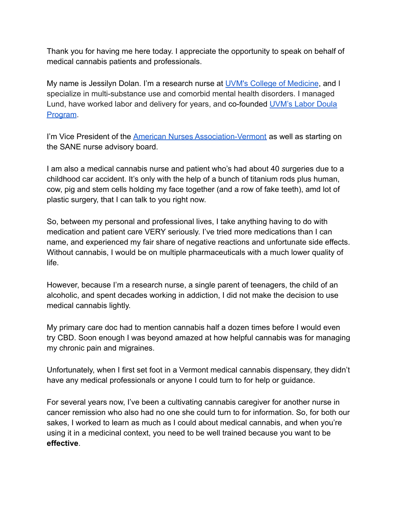Thank you for having me here today. I appreciate the opportunity to speak on behalf of medical cannabis patients and professionals.

My name is Jessilyn Dolan. I'm a research nurse at [UVM's College of Medicine](http://med.uvm.edu/), and I specialize in multi-substance use and comorbid mental health disorders. I managed Lund, have worked labor and delivery for years, and co-founded [UVM's Labor Doula](https://www.uvmhealth.org/medcenter/departments-and-programs/obstetrics-and-midwifery/doula-services) [Program](https://www.uvmhealth.org/medcenter/departments-and-programs/obstetrics-and-midwifery/doula-services).

I'm Vice President of the [American Nurses Association-Vermont](https://anavermont.nursingnetwork.com/) as well as starting on the SANE nurse advisory board.

I am also a medical cannabis nurse and patient who's had about 40 *s*urgeries due to a childhood car accident. It's only with the help of a bunch of titanium rods plus human, cow, pig and stem cells holding my face together (and a row of fake teeth), amd lot of plastic surgery, that I can talk to you right now.

So, between my personal and professional lives, I take anything having to do with medication and patient care VERY seriously. I've tried more medications than I can name, and experienced my fair share of negative reactions and unfortunate side effects. Without cannabis, I would be on multiple pharmaceuticals with a much lower quality of life.

However, because I'm a research nurse, a single parent of teenagers, the child of an alcoholic, and spent decades working in addiction, I did not make the decision to use medical cannabis lightly.

My primary care doc had to mention cannabis half a dozen times before I would even try CBD. Soon enough I was beyond amazed at how helpful cannabis was for managing my chronic pain and migraines.

Unfortunately, when I first set foot in a Vermont medical cannabis dispensary, they didn't have any medical professionals or anyone I could turn to for help or guidance.

For several years now, I've been a cultivating cannabis caregiver for another nurse in cancer remission who also had no one she could turn to for information. So, for both our sakes, I worked to learn as much as I could about medical cannabis, and when you're using it in a medicinal context, you need to be well trained because you want to be **effective**.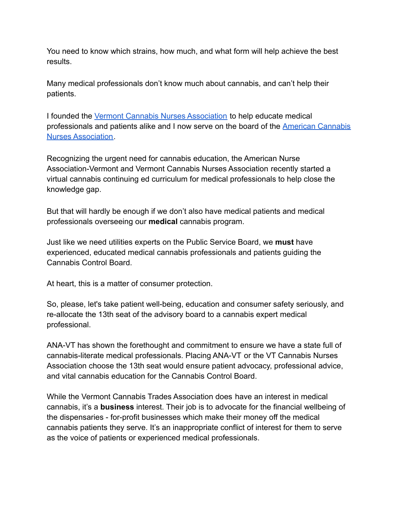You need to know which strains, how much, and what form will help achieve the best results.

Many medical professionals don't know much about cannabis, and can't help their patients.

I founded the [Vermont Cannabis Nurses Association](https://www.facebook.com/VTCNA/) to help educate medical professionals and patients alike and I now serve on the board of the [American Cannabis](https://www.cannabisnurses.org/) [Nurses Association.](https://www.cannabisnurses.org/)

Recognizing the urgent need for cannabis education, the American Nurse Association-Vermont and Vermont Cannabis Nurses Association recently started a virtual cannabis continuing ed curriculum for medical professionals to help close the knowledge gap.

But that will hardly be enough if we don't also have medical patients and medical professionals overseeing our **medical** cannabis program.

Just like we need utilities experts on the Public Service Board, we **must** have experienced, educated medical cannabis professionals and patients guiding the Cannabis Control Board.

At heart, this is a matter of consumer protection.

So, please, let's take patient well-being, education and consumer safety seriously, and re-allocate the 13th seat of the advisory board to a cannabis expert medical professional.

ANA-VT has shown the forethought and commitment to ensure we have a state full of cannabis-literate medical professionals. Placing ANA-VT or the VT Cannabis Nurses Association choose the 13th seat would ensure patient advocacy, professional advice, and vital cannabis education for the Cannabis Control Board.

While the Vermont Cannabis Trades Association does have an interest in medical cannabis, it's a **business** interest. Their job is to advocate for the financial wellbeing of the dispensaries - for-profit businesses which make their money off the medical cannabis patients they serve. It's an inappropriate conflict of interest for them to serve as the voice of patients or experienced medical professionals.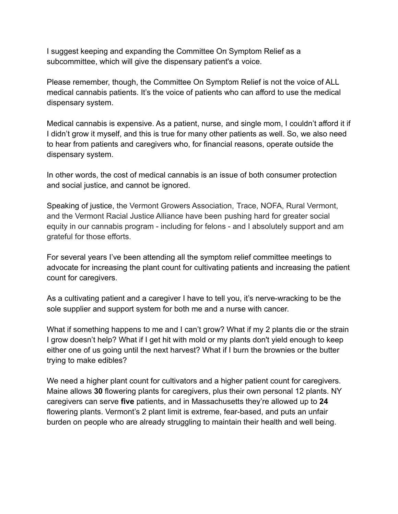I suggest keeping and expanding the Committee On Symptom Relief as a subcommittee, which will give the dispensary patient's a voice.

Please remember, though, the Committee On Symptom Relief is not the voice of ALL medical cannabis patients. It's the voice of patients who can afford to use the medical dispensary system.

Medical cannabis is expensive. As a patient, nurse, and single mom, I couldn't afford it if I didn't grow it myself, and this is true for many other patients as well. So, we also need to hear from patients and caregivers who, for financial reasons, operate outside the dispensary system.

In other words, the cost of medical cannabis is an issue of both consumer protection and social justice, and cannot be ignored.

Speaking of justice, the Vermont Growers Association, Trace, NOFA, Rural Vermont, and the Vermont Racial Justice Alliance have been pushing hard for greater social equity in our cannabis program - including for felons - and I absolutely support and am grateful for those efforts.

For several years I've been attending all the symptom relief committee meetings to advocate for increasing the plant count for cultivating patients and increasing the patient count for caregivers.

As a cultivating patient and a caregiver I have to tell you, it's nerve-wracking to be the sole supplier and support system for both me and a nurse with cancer.

What if something happens to me and I can't grow? What if my 2 plants die or the strain I grow doesn't help? What if I get hit with mold or my plants don't yield enough to keep either one of us going until the next harvest? What if I burn the brownies or the butter trying to make edibles?

We need a higher plant count for cultivators and a higher patient count for caregivers. Maine allows **30** flowering plants for caregivers, plus their own personal 12 plants. NY caregivers can serve **five** patients, and in Massachusetts they're allowed up to **24** flowering plants. Vermont's 2 plant limit is extreme, fear-based, and puts an unfair burden on people who are already struggling to maintain their health and well being.